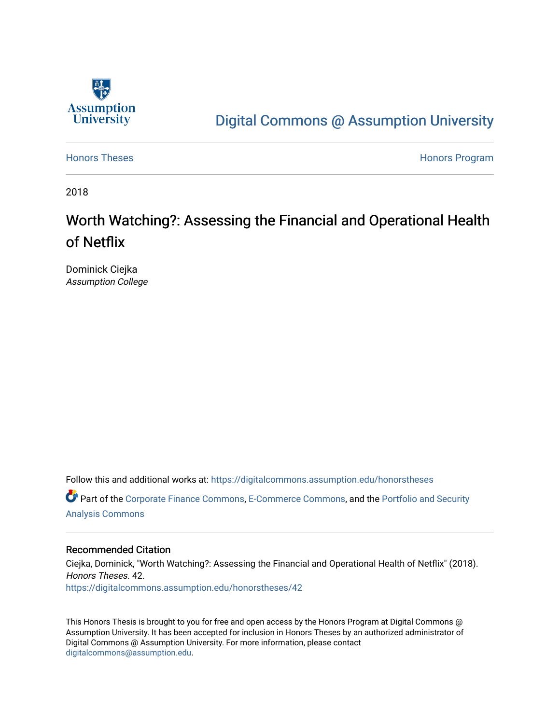

# [Digital Commons @ Assumption University](https://digitalcommons.assumption.edu/)

[Honors Theses](https://digitalcommons.assumption.edu/honorstheses) **Honors** Program

2018

# Worth Watching?: Assessing the Financial and Operational Health of Netflix

Dominick Ciejka Assumption College

Follow this and additional works at: [https://digitalcommons.assumption.edu/honorstheses](https://digitalcommons.assumption.edu/honorstheses?utm_source=digitalcommons.assumption.edu%2Fhonorstheses%2F42&utm_medium=PDF&utm_campaign=PDFCoverPages)

Part of the [Corporate Finance Commons](http://network.bepress.com/hgg/discipline/629?utm_source=digitalcommons.assumption.edu%2Fhonorstheses%2F42&utm_medium=PDF&utm_campaign=PDFCoverPages), [E-Commerce Commons,](http://network.bepress.com/hgg/discipline/624?utm_source=digitalcommons.assumption.edu%2Fhonorstheses%2F42&utm_medium=PDF&utm_campaign=PDFCoverPages) and the [Portfolio and Security](http://network.bepress.com/hgg/discipline/640?utm_source=digitalcommons.assumption.edu%2Fhonorstheses%2F42&utm_medium=PDF&utm_campaign=PDFCoverPages)  [Analysis Commons](http://network.bepress.com/hgg/discipline/640?utm_source=digitalcommons.assumption.edu%2Fhonorstheses%2F42&utm_medium=PDF&utm_campaign=PDFCoverPages) 

#### Recommended Citation

Ciejka, Dominick, "Worth Watching?: Assessing the Financial and Operational Health of Netflix" (2018). Honors Theses. 42. [https://digitalcommons.assumption.edu/honorstheses/42](https://digitalcommons.assumption.edu/honorstheses/42?utm_source=digitalcommons.assumption.edu%2Fhonorstheses%2F42&utm_medium=PDF&utm_campaign=PDFCoverPages) 

This Honors Thesis is brought to you for free and open access by the Honors Program at Digital Commons @ Assumption University. It has been accepted for inclusion in Honors Theses by an authorized administrator of Digital Commons @ Assumption University. For more information, please contact [digitalcommons@assumption.edu](mailto:digitalcommons@assumption.edu).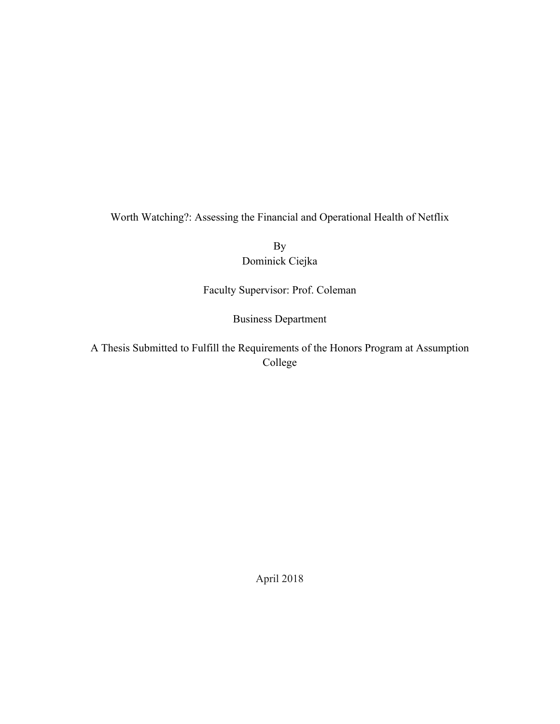Worth Watching?: Assessing the Financial and Operational Health of Netflix

By Dominick Ciejka

Faculty Supervisor: Prof. Coleman

Business Department

A Thesis Submitted to Fulfill the Requirements of the Honors Program at Assumption College

April 2018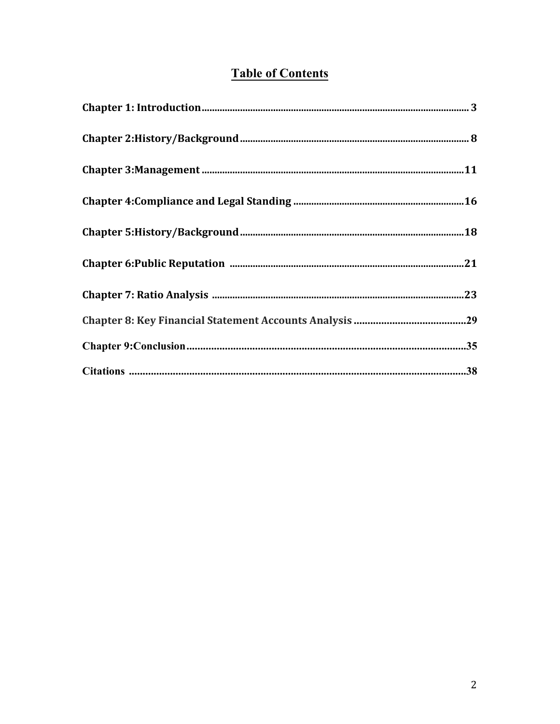# **Table of Contents**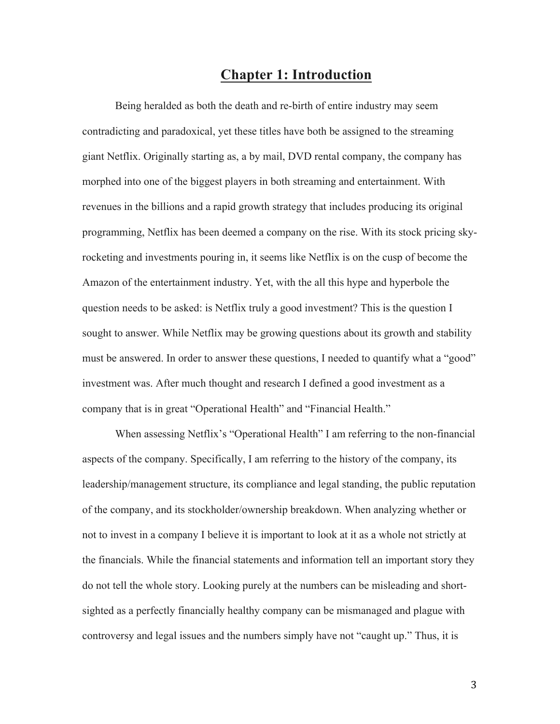### **Chapter 1: Introduction**

Being heralded as both the death and re-birth of entire industry may seem contradicting and paradoxical, yet these titles have both be assigned to the streaming giant Netflix. Originally starting as, a by mail, DVD rental company, the company has morphed into one of the biggest players in both streaming and entertainment. With revenues in the billions and a rapid growth strategy that includes producing its original programming, Netflix has been deemed a company on the rise. With its stock pricing skyrocketing and investments pouring in, it seems like Netflix is on the cusp of become the Amazon of the entertainment industry. Yet, with the all this hype and hyperbole the question needs to be asked: is Netflix truly a good investment? This is the question I sought to answer. While Netflix may be growing questions about its growth and stability must be answered. In order to answer these questions, I needed to quantify what a "good" investment was. After much thought and research I defined a good investment as a company that is in great "Operational Health" and "Financial Health."

When assessing Netflix's "Operational Health" I am referring to the non-financial aspects of the company. Specifically, I am referring to the history of the company, its leadership/management structure, its compliance and legal standing, the public reputation of the company, and its stockholder/ownership breakdown. When analyzing whether or not to invest in a company I believe it is important to look at it as a whole not strictly at the financials. While the financial statements and information tell an important story they do not tell the whole story. Looking purely at the numbers can be misleading and shortsighted as a perfectly financially healthy company can be mismanaged and plague with controversy and legal issues and the numbers simply have not "caught up." Thus, it is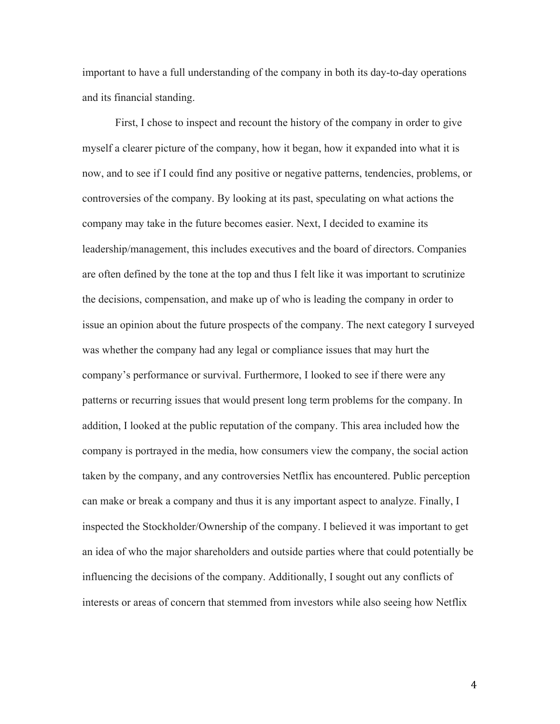important to have a full understanding of the company in both its day-to-day operations and its financial standing.

First, I chose to inspect and recount the history of the company in order to give myself a clearer picture of the company, how it began, how it expanded into what it is now, and to see if I could find any positive or negative patterns, tendencies, problems, or controversies of the company. By looking at its past, speculating on what actions the company may take in the future becomes easier. Next, I decided to examine its leadership/management, this includes executives and the board of directors. Companies are often defined by the tone at the top and thus I felt like it was important to scrutinize the decisions, compensation, and make up of who is leading the company in order to issue an opinion about the future prospects of the company. The next category I surveyed was whether the company had any legal or compliance issues that may hurt the company's performance or survival. Furthermore, I looked to see if there were any patterns or recurring issues that would present long term problems for the company. In addition, I looked at the public reputation of the company. This area included how the company is portrayed in the media, how consumers view the company, the social action taken by the company, and any controversies Netflix has encountered. Public perception can make or break a company and thus it is any important aspect to analyze. Finally, I inspected the Stockholder/Ownership of the company. I believed it was important to get an idea of who the major shareholders and outside parties where that could potentially be influencing the decisions of the company. Additionally, I sought out any conflicts of interests or areas of concern that stemmed from investors while also seeing how Netflix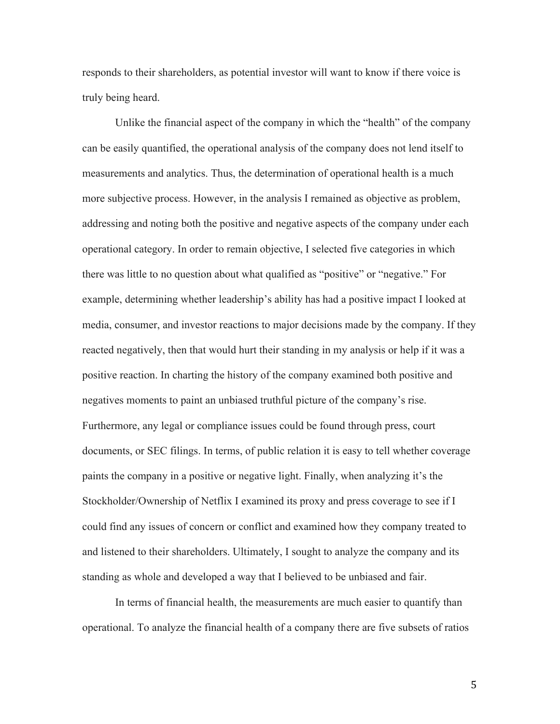responds to their shareholders, as potential investor will want to know if there voice is truly being heard.

Unlike the financial aspect of the company in which the "health" of the company can be easily quantified, the operational analysis of the company does not lend itself to measurements and analytics. Thus, the determination of operational health is a much more subjective process. However, in the analysis I remained as objective as problem, addressing and noting both the positive and negative aspects of the company under each operational category. In order to remain objective, I selected five categories in which there was little to no question about what qualified as "positive" or "negative." For example, determining whether leadership's ability has had a positive impact I looked at media, consumer, and investor reactions to major decisions made by the company. If they reacted negatively, then that would hurt their standing in my analysis or help if it was a positive reaction. In charting the history of the company examined both positive and negatives moments to paint an unbiased truthful picture of the company's rise. Furthermore, any legal or compliance issues could be found through press, court documents, or SEC filings. In terms, of public relation it is easy to tell whether coverage paints the company in a positive or negative light. Finally, when analyzing it's the Stockholder/Ownership of Netflix I examined its proxy and press coverage to see if I could find any issues of concern or conflict and examined how they company treated to and listened to their shareholders. Ultimately, I sought to analyze the company and its standing as whole and developed a way that I believed to be unbiased and fair.

In terms of financial health, the measurements are much easier to quantify than operational. To analyze the financial health of a company there are five subsets of ratios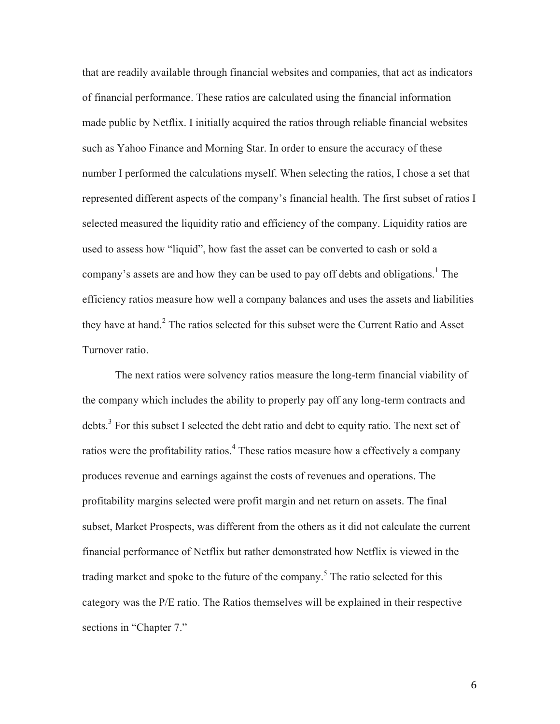that are readily available through financial websites and companies, that act as indicators of financial performance. These ratios are calculated using the financial information made public by Netflix. I initially acquired the ratios through reliable financial websites such as Yahoo Finance and Morning Star. In order to ensure the accuracy of these number I performed the calculations myself. When selecting the ratios, I chose a set that represented different aspects of the company's financial health. The first subset of ratios I selected measured the liquidity ratio and efficiency of the company. Liquidity ratios are used to assess how "liquid", how fast the asset can be converted to cash or sold a company's assets are and how they can be used to pay off debts and obligations.<sup>1</sup> The efficiency ratios measure how well a company balances and uses the assets and liabilities they have at hand.<sup>2</sup> The ratios selected for this subset were the Current Ratio and Asset Turnover ratio.

The next ratios were solvency ratios measure the long-term financial viability of the company which includes the ability to properly pay off any long-term contracts and debts.<sup>3</sup> For this subset I selected the debt ratio and debt to equity ratio. The next set of ratios were the profitability ratios.<sup>4</sup> These ratios measure how a effectively a company produces revenue and earnings against the costs of revenues and operations. The profitability margins selected were profit margin and net return on assets. The final subset, Market Prospects, was different from the others as it did not calculate the current financial performance of Netflix but rather demonstrated how Netflix is viewed in the trading market and spoke to the future of the company.<sup>5</sup> The ratio selected for this category was the P/E ratio. The Ratios themselves will be explained in their respective sections in "Chapter 7."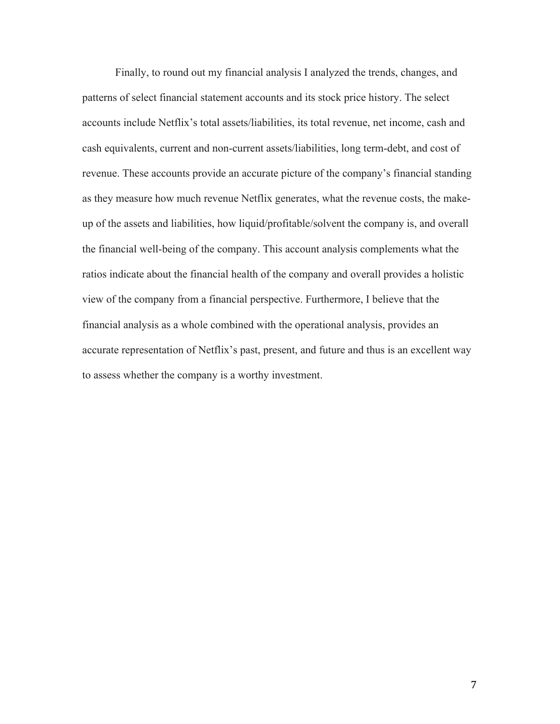Finally, to round out my financial analysis I analyzed the trends, changes, and patterns of select financial statement accounts and its stock price history. The select accounts include Netflix's total assets/liabilities, its total revenue, net income, cash and cash equivalents, current and non-current assets/liabilities, long term-debt, and cost of revenue. These accounts provide an accurate picture of the company's financial standing as they measure how much revenue Netflix generates, what the revenue costs, the makeup of the assets and liabilities, how liquid/profitable/solvent the company is, and overall the financial well-being of the company. This account analysis complements what the ratios indicate about the financial health of the company and overall provides a holistic view of the company from a financial perspective. Furthermore, I believe that the financial analysis as a whole combined with the operational analysis, provides an accurate representation of Netflix's past, present, and future and thus is an excellent way to assess whether the company is a worthy investment.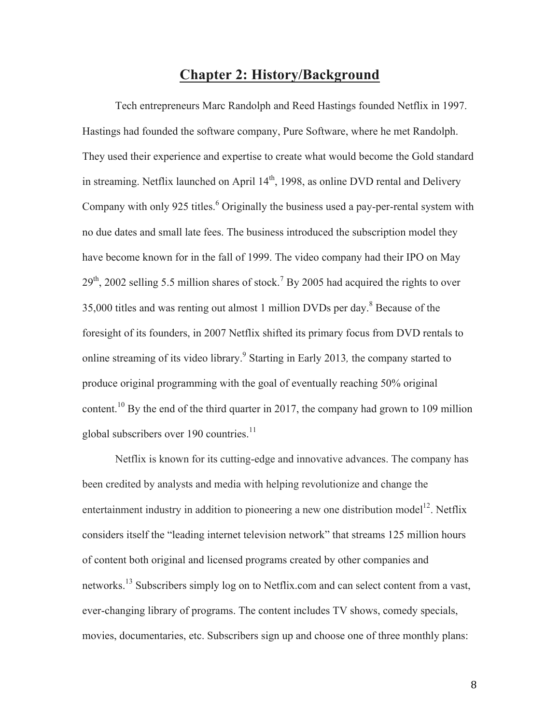# **Chapter 2: History/Background**

Tech entrepreneurs Marc Randolph and Reed Hastings founded Netflix in 1997. Hastings had founded the software company, Pure Software, where he met Randolph. They used their experience and expertise to create what would become the Gold standard in streaming. Netflix launched on April  $14<sup>th</sup>$ , 1998, as online DVD rental and Delivery Company with only 925 titles.<sup>6</sup> Originally the business used a pay-per-rental system with no due dates and small late fees. The business introduced the subscription model they have become known for in the fall of 1999. The video company had their IPO on May  $29<sup>th</sup>$ , 2002 selling 5.5 million shares of stock.<sup>7</sup> By 2005 had acquired the rights to over 35,000 titles and was renting out almost 1 million DVDs per day.<sup>8</sup> Because of the foresight of its founders, in 2007 Netflix shifted its primary focus from DVD rentals to online streaming of its video library. <sup>9</sup> Starting in Early 2013*,* the company started to produce original programming with the goal of eventually reaching 50% original content.<sup>10</sup> By the end of the third quarter in 2017, the company had grown to 109 million global subscribers over 190 countries.<sup>11</sup>

Netflix is known for its cutting-edge and innovative advances. The company has been credited by analysts and media with helping revolutionize and change the entertainment industry in addition to pioneering a new one distribution model<sup>12</sup>. Netflix considers itself the "leading internet television network" that streams 125 million hours of content both original and licensed programs created by other companies and networks.<sup>13</sup> Subscribers simply log on to Netflix.com and can select content from a vast, ever-changing library of programs. The content includes TV shows, comedy specials, movies, documentaries, etc. Subscribers sign up and choose one of three monthly plans: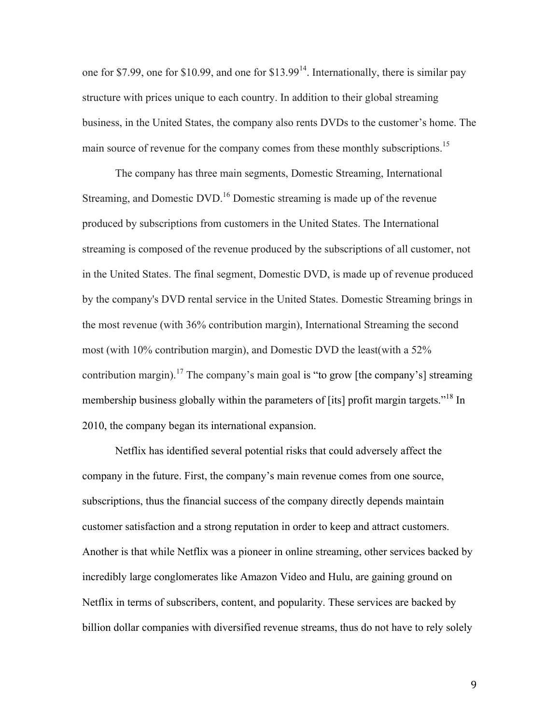one for \$7.99, one for \$10.99, and one for  $$13.99<sup>14</sup>$ . Internationally, there is similar pay structure with prices unique to each country. In addition to their global streaming business, in the United States, the company also rents DVDs to the customer's home. The main source of revenue for the company comes from these monthly subscriptions.<sup>15</sup>

The company has three main segments, Domestic Streaming, International Streaming, and Domestic DVD.<sup>16</sup> Domestic streaming is made up of the revenue produced by subscriptions from customers in the United States. The International streaming is composed of the revenue produced by the subscriptions of all customer, not in the United States. The final segment, Domestic DVD, is made up of revenue produced by the company's DVD rental service in the United States. Domestic Streaming brings in the most revenue (with 36% contribution margin), International Streaming the second most (with 10% contribution margin), and Domestic DVD the least(with a 52% contribution margin).<sup>17</sup> The company's main goal is "to grow [the company's] streaming membership business globally within the parameters of [its] profit margin targets."<sup>18</sup> In 2010, the company began its international expansion.

Netflix has identified several potential risks that could adversely affect the company in the future. First, the company's main revenue comes from one source, subscriptions, thus the financial success of the company directly depends maintain customer satisfaction and a strong reputation in order to keep and attract customers. Another is that while Netflix was a pioneer in online streaming, other services backed by incredibly large conglomerates like Amazon Video and Hulu, are gaining ground on Netflix in terms of subscribers, content, and popularity. These services are backed by billion dollar companies with diversified revenue streams, thus do not have to rely solely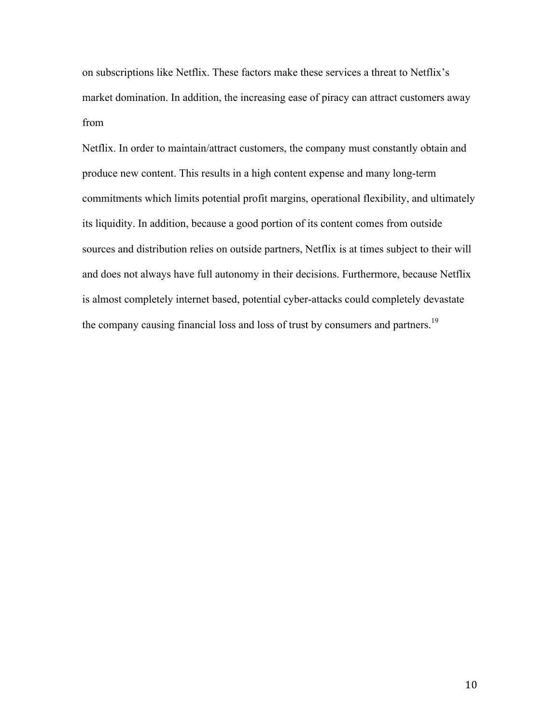on subscriptions like Netflix. These factors make these services a threat to Netflix's market domination. In addition, the increasing ease of piracy can attract customers away from

Netflix. In order to maintain/attract customers, the company must constantly obtain and produce new content. This results in a high content expense and many long-term commitments which limits potential profit margins, operational flexibility, and ultimately its liquidity. In addition, because a good portion of its content comes from outside sources and distribution relies on outside partners, Netflix is at times subject to their will and does not always have full autonomy in their decisions. Furthermore, because Netflix is almost completely internet based, potential cyber-attacks could completely devastate the company causing financial loss and loss of trust by consumers and partners.<sup>19</sup>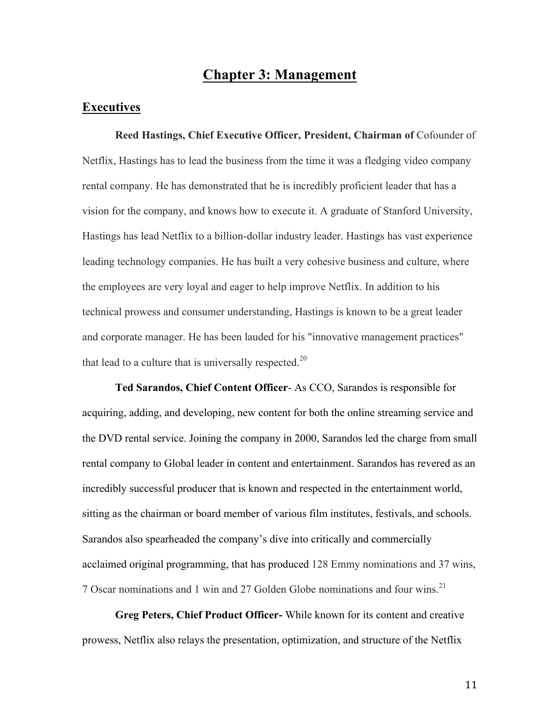# **Chapter 3: Management**

### **Executives**

**Reed Hastings, Chief Executive Officer, President, Chairman of** Cofounder of Netflix, Hastings has to lead the business from the time it was a fledging video company rental company. He has demonstrated that he is incredibly proficient leader that has a vision for the company, and knows how to execute it. A graduate of Stanford University, Hastings has lead Netflix to a billion-dollar industry leader. Hastings has vast experience leading technology companies. He has built a very cohesive business and culture, where the employees are very loyal and eager to help improve Netflix. In addition to his technical prowess and consumer understanding, Hastings is known to be a great leader and corporate manager. He has been lauded for his "innovative management practices" that lead to a culture that is universally respected. $20$ 

**Ted Sarandos, Chief Content Officer**- As CCO, Sarandos is responsible for acquiring, adding, and developing, new content for both the online streaming service and the DVD rental service. Joining the company in 2000, Sarandos led the charge from small rental company to Global leader in content and entertainment. Sarandos has revered as an incredibly successful producer that is known and respected in the entertainment world, sitting as the chairman or board member of various film institutes, festivals, and schools. Sarandos also spearheaded the company's dive into critically and commercially acclaimed original programming, that has produced 128 Emmy nominations and 37 wins, 7 Oscar nominations and 1 win and 27 Golden Globe nominations and four wins.<sup>21</sup>

**Greg Peters, Chief Product Officer-** While known for its content and creative prowess, Netflix also relays the presentation, optimization, and structure of the Netflix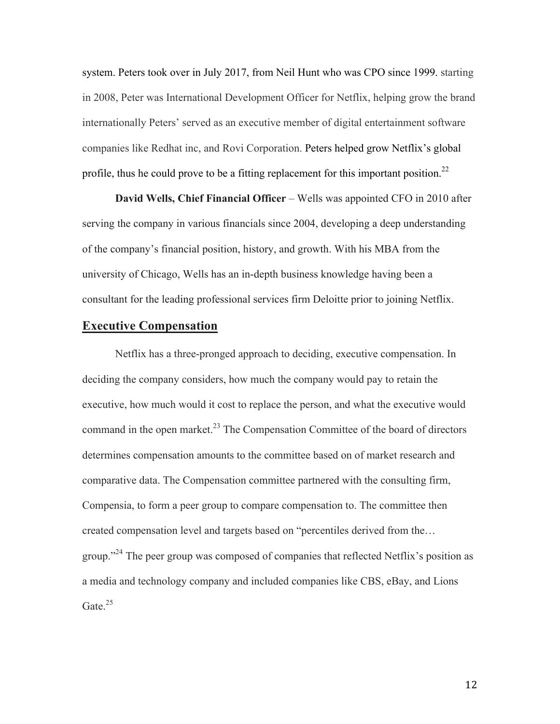system. Peters took over in July 2017, from Neil Hunt who was CPO since 1999. starting in 2008, Peter was International Development Officer for Netflix, helping grow the brand internationally Peters' served as an executive member of digital entertainment software companies like Redhat inc, and Rovi Corporation. Peters helped grow Netflix's global profile, thus he could prove to be a fitting replacement for this important position.<sup>22</sup>

**David Wells, Chief Financial Officer** – Wells was appointed CFO in 2010 after serving the company in various financials since 2004, developing a deep understanding of the company's financial position, history, and growth. With his MBA from the university of Chicago, Wells has an in-depth business knowledge having been a consultant for the leading professional services firm Deloitte prior to joining Netflix.

### **Executive Compensation**

Netflix has a three-pronged approach to deciding, executive compensation. In deciding the company considers, how much the company would pay to retain the executive, how much would it cost to replace the person, and what the executive would command in the open market. $^{23}$  The Compensation Committee of the board of directors determines compensation amounts to the committee based on of market research and comparative data. The Compensation committee partnered with the consulting firm, Compensia, to form a peer group to compare compensation to. The committee then created compensation level and targets based on "percentiles derived from the… group."<sup>24</sup> The peer group was composed of companies that reflected Netflix's position as a media and technology company and included companies like CBS, eBay, and Lions Gate. $^{25}$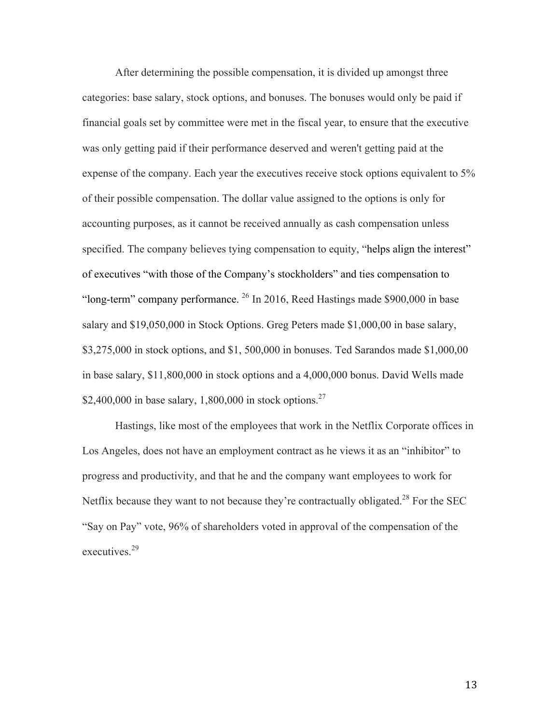After determining the possible compensation, it is divided up amongst three categories: base salary, stock options, and bonuses. The bonuses would only be paid if financial goals set by committee were met in the fiscal year, to ensure that the executive was only getting paid if their performance deserved and weren't getting paid at the expense of the company. Each year the executives receive stock options equivalent to 5% of their possible compensation. The dollar value assigned to the options is only for accounting purposes, as it cannot be received annually as cash compensation unless specified. The company believes tying compensation to equity, "helps align the interest" of executives "with those of the Company's stockholders" and ties compensation to "long-term" company performance.  $^{26}$  In 2016, Reed Hastings made \$900,000 in base salary and \$19,050,000 in Stock Options. Greg Peters made \$1,000,00 in base salary, \$3,275,000 in stock options, and \$1, 500,000 in bonuses. Ted Sarandos made \$1,000,00 in base salary, \$11,800,000 in stock options and a 4,000,000 bonus. David Wells made \$2,400,000 in base salary, 1,800,000 in stock options.<sup>27</sup>

Hastings, like most of the employees that work in the Netflix Corporate offices in Los Angeles, does not have an employment contract as he views it as an "inhibitor" to progress and productivity, and that he and the company want employees to work for Netflix because they want to not because they're contractually obligated.<sup>28</sup> For the SEC "Say on Pay" vote, 96% of shareholders voted in approval of the compensation of the executives.<sup>29</sup>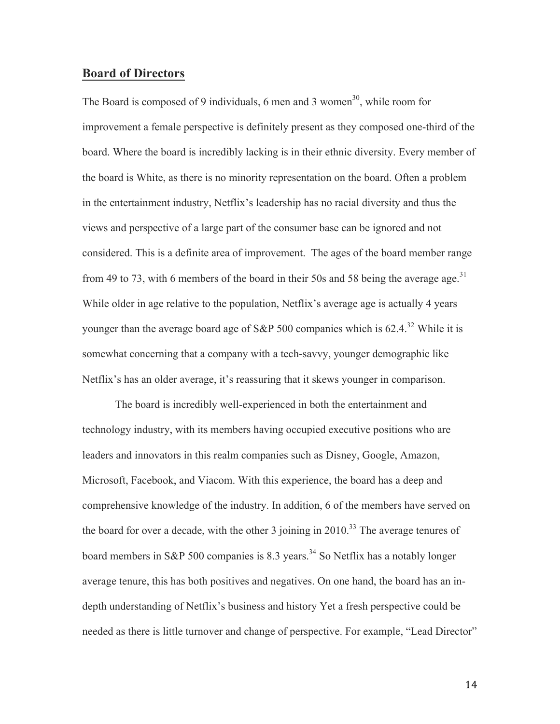### **Board of Directors**

The Board is composed of 9 individuals, 6 men and 3 women<sup>30</sup>, while room for improvement a female perspective is definitely present as they composed one-third of the board. Where the board is incredibly lacking is in their ethnic diversity. Every member of the board is White, as there is no minority representation on the board. Often a problem in the entertainment industry, Netflix's leadership has no racial diversity and thus the views and perspective of a large part of the consumer base can be ignored and not considered. This is a definite area of improvement. The ages of the board member range from 49 to 73, with 6 members of the board in their 50s and 58 being the average age.<sup>31</sup> While older in age relative to the population, Netflix's average age is actually 4 years younger than the average board age of S&P 500 companies which is  $62.4^{32}$  While it is somewhat concerning that a company with a tech-savvy, younger demographic like Netflix's has an older average, it's reassuring that it skews younger in comparison.

The board is incredibly well-experienced in both the entertainment and technology industry, with its members having occupied executive positions who are leaders and innovators in this realm companies such as Disney, Google, Amazon, Microsoft, Facebook, and Viacom. With this experience, the board has a deep and comprehensive knowledge of the industry. In addition, 6 of the members have served on the board for over a decade, with the other 3 joining in  $2010^{33}$  The average tenures of board members in S&P 500 companies is 8.3 years.<sup>34</sup> So Netflix has a notably longer average tenure, this has both positives and negatives. On one hand, the board has an indepth understanding of Netflix's business and history Yet a fresh perspective could be needed as there is little turnover and change of perspective. For example, "Lead Director"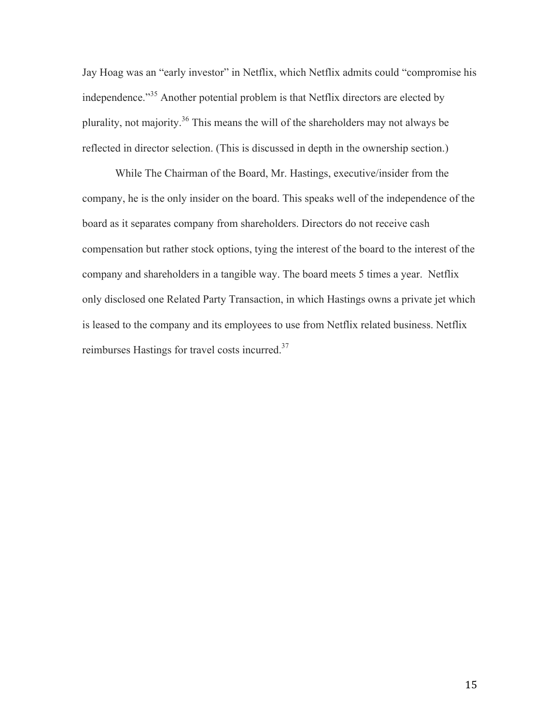Jay Hoag was an "early investor" in Netflix, which Netflix admits could "compromise his independence."<sup>35</sup> Another potential problem is that Netflix directors are elected by plurality, not majority.<sup>36</sup> This means the will of the shareholders may not always be reflected in director selection. (This is discussed in depth in the ownership section.)

While The Chairman of the Board, Mr. Hastings, executive/insider from the company, he is the only insider on the board. This speaks well of the independence of the board as it separates company from shareholders. Directors do not receive cash compensation but rather stock options, tying the interest of the board to the interest of the company and shareholders in a tangible way. The board meets 5 times a year. Netflix only disclosed one Related Party Transaction, in which Hastings owns a private jet which is leased to the company and its employees to use from Netflix related business. Netflix reimburses Hastings for travel costs incurred.37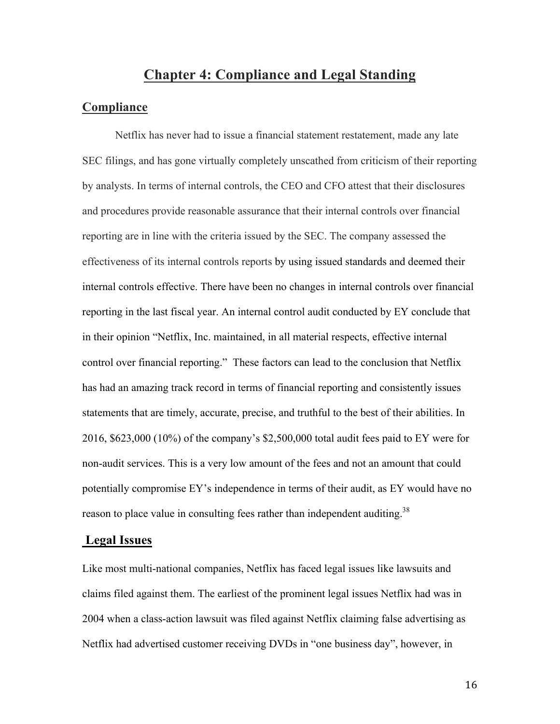### **Chapter 4: Compliance and Legal Standing**

### **Compliance**

Netflix has never had to issue a financial statement restatement, made any late SEC filings, and has gone virtually completely unscathed from criticism of their reporting by analysts. In terms of internal controls, the CEO and CFO attest that their disclosures and procedures provide reasonable assurance that their internal controls over financial reporting are in line with the criteria issued by the SEC. The company assessed the effectiveness of its internal controls reports by using issued standards and deemed their internal controls effective. There have been no changes in internal controls over financial reporting in the last fiscal year. An internal control audit conducted by EY conclude that in their opinion "Netflix, Inc. maintained, in all material respects, effective internal control over financial reporting." These factors can lead to the conclusion that Netflix has had an amazing track record in terms of financial reporting and consistently issues statements that are timely, accurate, precise, and truthful to the best of their abilities. In 2016, \$623,000 (10%) of the company's \$2,500,000 total audit fees paid to EY were for non-audit services. This is a very low amount of the fees and not an amount that could potentially compromise EY's independence in terms of their audit, as EY would have no reason to place value in consulting fees rather than independent auditing.<sup>38</sup>

### **Legal Issues**

Like most multi-national companies, Netflix has faced legal issues like lawsuits and claims filed against them. The earliest of the prominent legal issues Netflix had was in 2004 when a class-action lawsuit was filed against Netflix claiming false advertising as Netflix had advertised customer receiving DVDs in "one business day", however, in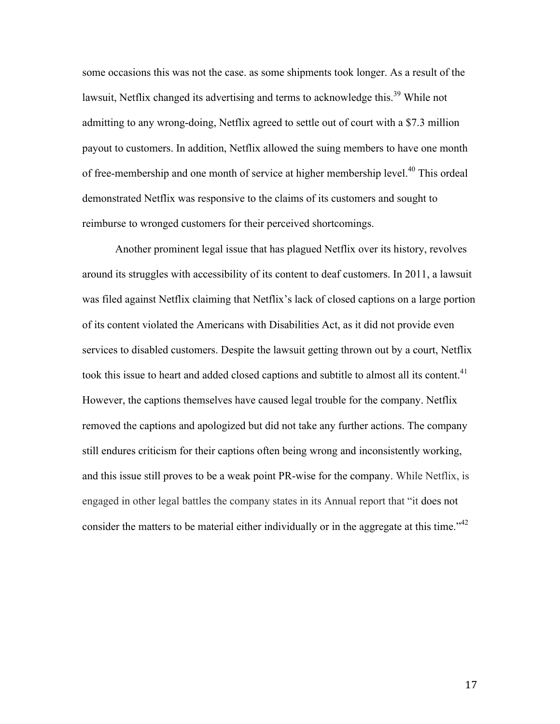some occasions this was not the case. as some shipments took longer. As a result of the lawsuit, Netflix changed its advertising and terms to acknowledge this.<sup>39</sup> While not admitting to any wrong-doing, Netflix agreed to settle out of court with a \$7.3 million payout to customers. In addition, Netflix allowed the suing members to have one month of free-membership and one month of service at higher membership level.<sup>40</sup> This ordeal demonstrated Netflix was responsive to the claims of its customers and sought to reimburse to wronged customers for their perceived shortcomings.

Another prominent legal issue that has plagued Netflix over its history, revolves around its struggles with accessibility of its content to deaf customers. In 2011, a lawsuit was filed against Netflix claiming that Netflix's lack of closed captions on a large portion of its content violated the Americans with Disabilities Act, as it did not provide even services to disabled customers. Despite the lawsuit getting thrown out by a court, Netflix took this issue to heart and added closed captions and subtitle to almost all its content.<sup>41</sup> However, the captions themselves have caused legal trouble for the company. Netflix removed the captions and apologized but did not take any further actions. The company still endures criticism for their captions often being wrong and inconsistently working, and this issue still proves to be a weak point PR-wise for the company. While Netflix, is engaged in other legal battles the company states in its Annual report that "it does not consider the matters to be material either individually or in the aggregate at this time." $42$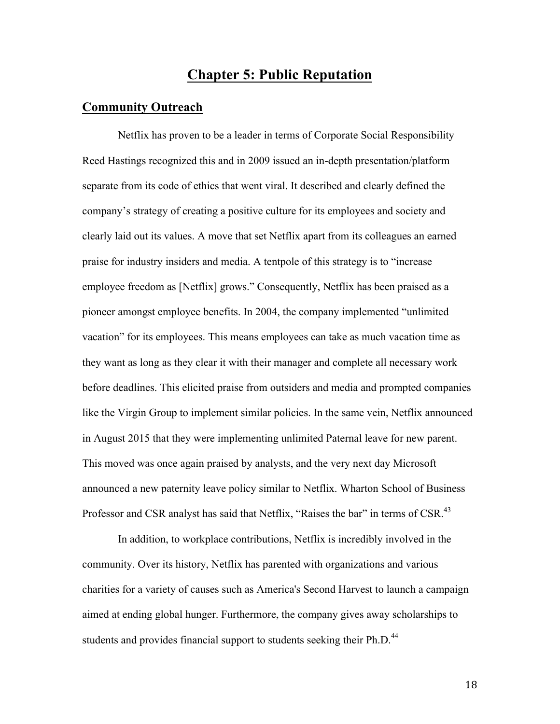# **Chapter 5: Public Reputation**

### **Community Outreach**

Netflix has proven to be a leader in terms of Corporate Social Responsibility Reed Hastings recognized this and in 2009 issued an in-depth presentation/platform separate from its code of ethics that went viral. It described and clearly defined the company's strategy of creating a positive culture for its employees and society and clearly laid out its values. A move that set Netflix apart from its colleagues an earned praise for industry insiders and media. A tentpole of this strategy is to "increase employee freedom as [Netflix] grows." Consequently, Netflix has been praised as a pioneer amongst employee benefits. In 2004, the company implemented "unlimited vacation" for its employees. This means employees can take as much vacation time as they want as long as they clear it with their manager and complete all necessary work before deadlines. This elicited praise from outsiders and media and prompted companies like the Virgin Group to implement similar policies. In the same vein, Netflix announced in August 2015 that they were implementing unlimited Paternal leave for new parent. This moved was once again praised by analysts, and the very next day Microsoft announced a new paternity leave policy similar to Netflix. Wharton School of Business Professor and CSR analyst has said that Netflix, "Raises the bar" in terms of CSR.<sup>43</sup>

In addition, to workplace contributions, Netflix is incredibly involved in the community. Over its history, Netflix has parented with organizations and various charities for a variety of causes such as America's Second Harvest to launch a campaign aimed at ending global hunger. Furthermore, the company gives away scholarships to students and provides financial support to students seeking their Ph.D.<sup>44</sup>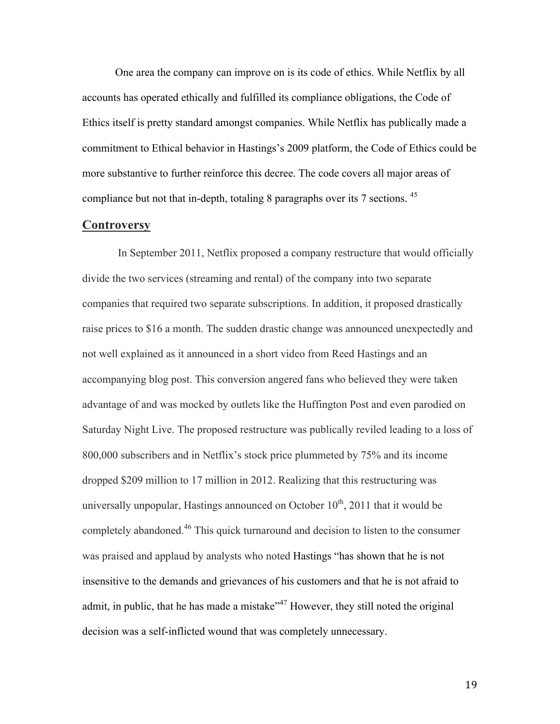One area the company can improve on is its code of ethics. While Netflix by all accounts has operated ethically and fulfilled its compliance obligations, the Code of Ethics itself is pretty standard amongst companies. While Netflix has publically made a commitment to Ethical behavior in Hastings's 2009 platform, the Code of Ethics could be more substantive to further reinforce this decree. The code covers all major areas of compliance but not that in-depth, totaling 8 paragraphs over its 7 sections. <sup>45</sup>

#### **Controversy**

In September 2011, Netflix proposed a company restructure that would officially divide the two services (streaming and rental) of the company into two separate companies that required two separate subscriptions. In addition, it proposed drastically raise prices to \$16 a month. The sudden drastic change was announced unexpectedly and not well explained as it announced in a short video from Reed Hastings and an accompanying blog post. This conversion angered fans who believed they were taken advantage of and was mocked by outlets like the Huffington Post and even parodied on Saturday Night Live. The proposed restructure was publically reviled leading to a loss of 800,000 subscribers and in Netflix's stock price plummeted by 75% and its income dropped \$209 million to 17 million in 2012. Realizing that this restructuring was universally unpopular, Hastings announced on October  $10^{th}$ , 2011 that it would be completely abandoned.<sup>46</sup> This quick turnaround and decision to listen to the consumer was praised and applaud by analysts who noted Hastings "has shown that he is not insensitive to the demands and grievances of his customers and that he is not afraid to admit, in public, that he has made a mistake"<sup>47</sup> However, they still noted the original decision was a self-inflicted wound that was completely unnecessary.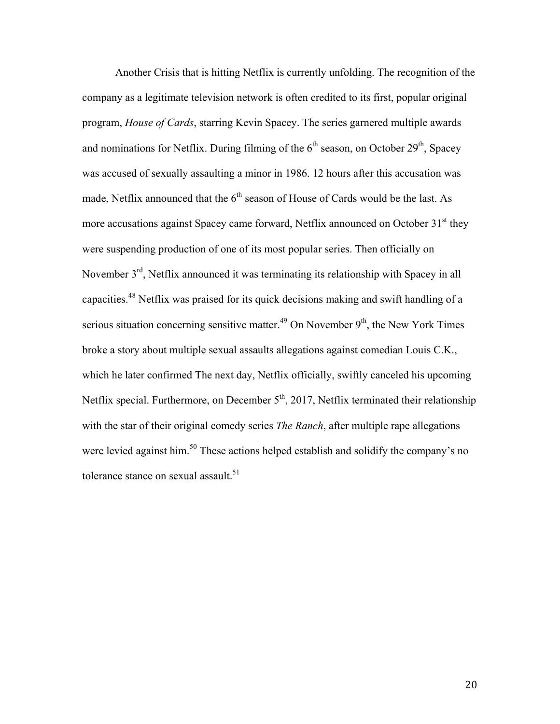Another Crisis that is hitting Netflix is currently unfolding. The recognition of the company as a legitimate television network is often credited to its first, popular original program, *House of Cards*, starring Kevin Spacey. The series garnered multiple awards and nominations for Netflix. During filming of the  $6<sup>th</sup>$  season, on October 29<sup>th</sup>, Spacey was accused of sexually assaulting a minor in 1986. 12 hours after this accusation was made, Netflix announced that the  $6<sup>th</sup>$  season of House of Cards would be the last. As more accusations against Spacey came forward, Netflix announced on October  $31<sup>st</sup>$  they were suspending production of one of its most popular series. Then officially on November 3<sup>rd</sup>, Netflix announced it was terminating its relationship with Spacey in all capacities.<sup>48</sup> Netflix was praised for its quick decisions making and swift handling of a serious situation concerning sensitive matter.<sup>49</sup> On November  $9<sup>th</sup>$ , the New York Times broke a story about multiple sexual assaults allegations against comedian Louis C.K., which he later confirmed The next day, Netflix officially, swiftly canceled his upcoming Netflix special. Furthermore, on December 5<sup>th</sup>, 2017, Netflix terminated their relationship with the star of their original comedy series *The Ranch*, after multiple rape allegations were levied against him.<sup>50</sup> These actions helped establish and solidify the company's no tolerance stance on sexual assault.<sup>51</sup>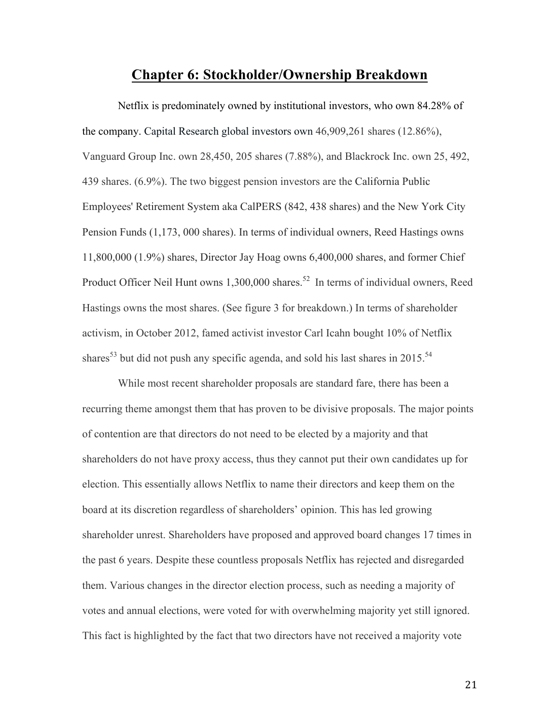# **Chapter 6: Stockholder/Ownership Breakdown**

Netflix is predominately owned by institutional investors, who own 84.28% of the company. Capital Research global investors own 46,909,261 shares (12.86%), Vanguard Group Inc. own 28,450, 205 shares (7.88%), and Blackrock Inc. own 25, 492, 439 shares. (6.9%). The two biggest pension investors are the California Public Employees' Retirement System aka CalPERS (842, 438 shares) and the New York City Pension Funds (1,173, 000 shares). In terms of individual owners, Reed Hastings owns 11,800,000 (1.9%) shares, Director Jay Hoag owns 6,400,000 shares, and former Chief Product Officer Neil Hunt owns 1,300,000 shares.<sup>52</sup> In terms of individual owners, Reed Hastings owns the most shares. (See figure 3 for breakdown.) In terms of shareholder activism, in October 2012, famed activist investor Carl Icahn bought 10% of Netflix shares<sup>53</sup> but did not push any specific agenda, and sold his last shares in 2015.<sup>54</sup>

While most recent shareholder proposals are standard fare, there has been a recurring theme amongst them that has proven to be divisive proposals. The major points of contention are that directors do not need to be elected by a majority and that shareholders do not have proxy access, thus they cannot put their own candidates up for election. This essentially allows Netflix to name their directors and keep them on the board at its discretion regardless of shareholders' opinion. This has led growing shareholder unrest. Shareholders have proposed and approved board changes 17 times in the past 6 years. Despite these countless proposals Netflix has rejected and disregarded them. Various changes in the director election process, such as needing a majority of votes and annual elections, were voted for with overwhelming majority yet still ignored. This fact is highlighted by the fact that two directors have not received a majority vote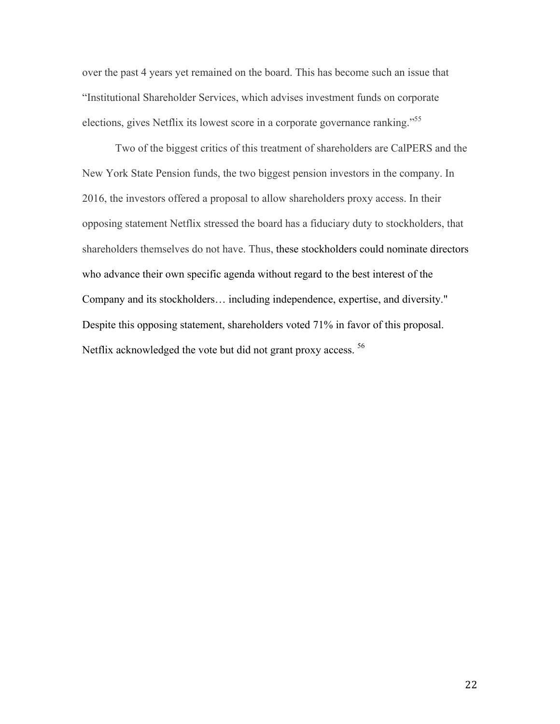over the past 4 years yet remained on the board. This has become such an issue that "Institutional Shareholder Services, which advises investment funds on corporate elections, gives Netflix its lowest score in a corporate governance ranking."<sup>55</sup>

Two of the biggest critics of this treatment of shareholders are CalPERS and the New York State Pension funds, the two biggest pension investors in the company. In 2016, the investors offered a proposal to allow shareholders proxy access. In their opposing statement Netflix stressed the board has a fiduciary duty to stockholders, that shareholders themselves do not have. Thus, these stockholders could nominate directors who advance their own specific agenda without regard to the best interest of the Company and its stockholders… including independence, expertise, and diversity." Despite this opposing statement, shareholders voted 71% in favor of this proposal. Netflix acknowledged the vote but did not grant proxy access.<sup>56</sup>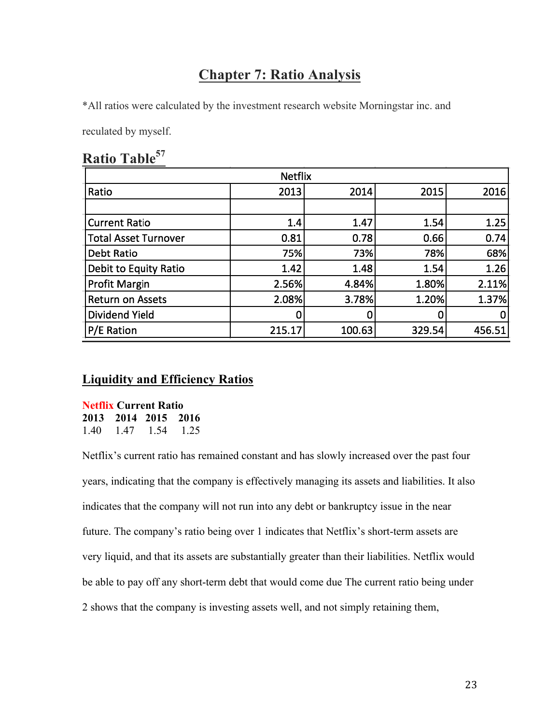# **Chapter 7: Ratio Analysis**

\*All ratios were calculated by the investment research website Morningstar inc. and

reculated by myself.

| Ratio Table <sup>57</sup> |
|---------------------------|
|---------------------------|

| IAUUU 1 UVIV                |        |        |        |        |
|-----------------------------|--------|--------|--------|--------|
| <b>Netflix</b>              |        |        |        |        |
| Ratio                       | 2013   | 2014   | 2015   | 2016   |
|                             |        |        |        |        |
| <b>Current Ratio</b>        | 1.4    | 1.47   | 1.54   | 1.25   |
| <b>Total Asset Turnover</b> | 0.81   | 0.78   | 0.66   | 0.74   |
| Debt Ratio                  | 75%    | 73%    | 78%    | 68%    |
| Debit to Equity Ratio       | 1.42   | 1.48   | 1.54   | 1.26   |
| Profit Margin               | 2.56%  | 4.84%  | 1.80%  | 2.11%  |
| <b>Return on Assets</b>     | 2.08%  | 3.78%  | 1.20%  | 1.37%  |
| Dividend Yield              |        | 0      | 0      | 0      |
| P/E Ration                  | 215.17 | 100.63 | 329.54 | 456.51 |
|                             |        |        |        |        |

# **Liquidity and Efficiency Ratios**

**Netflix Current Ratio 2013 2014 2015 2016** 1.40 1.47 1.54 1.25

Netflix's current ratio has remained constant and has slowly increased over the past four years, indicating that the company is effectively managing its assets and liabilities. It also indicates that the company will not run into any debt or bankruptcy issue in the near future. The company's ratio being over 1 indicates that Netflix's short-term assets are very liquid, and that its assets are substantially greater than their liabilities. Netflix would be able to pay off any short-term debt that would come due The current ratio being under 2 shows that the company is investing assets well, and not simply retaining them,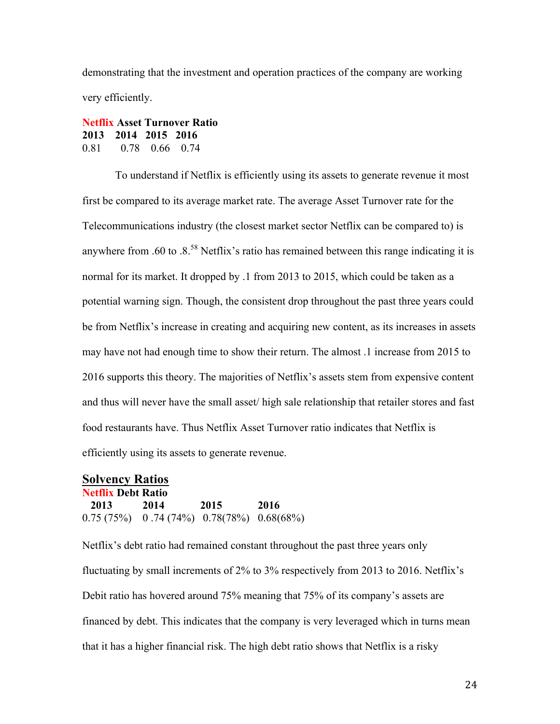demonstrating that the investment and operation practices of the company are working very efficiently.

### **Netflix Asset Turnover Ratio 2013 2014 2015 2016**  0.81 0.78 0.66 0.74

To understand if Netflix is efficiently using its assets to generate revenue it most first be compared to its average market rate. The average Asset Turnover rate for the Telecommunications industry (the closest market sector Netflix can be compared to) is anywhere from .60 to .8.<sup>58</sup> Netflix's ratio has remained between this range indicating it is normal for its market. It dropped by .1 from 2013 to 2015, which could be taken as a potential warning sign. Though, the consistent drop throughout the past three years could be from Netflix's increase in creating and acquiring new content, as its increases in assets may have not had enough time to show their return. The almost .1 increase from 2015 to 2016 supports this theory. The majorities of Netflix's assets stem from expensive content and thus will never have the small asset/ high sale relationship that retailer stores and fast food restaurants have. Thus Netflix Asset Turnover ratio indicates that Netflix is efficiently using its assets to generate revenue.

### **Solvency Ratios Netflix Debt Ratio 2013 2014 2015 2016**  0.75 (75%) 0 .74 (74%) 0.78(78%) 0.68(68%)

Netflix's debt ratio had remained constant throughout the past three years only fluctuating by small increments of 2% to 3% respectively from 2013 to 2016. Netflix's Debit ratio has hovered around 75% meaning that 75% of its company's assets are financed by debt. This indicates that the company is very leveraged which in turns mean that it has a higher financial risk. The high debt ratio shows that Netflix is a risky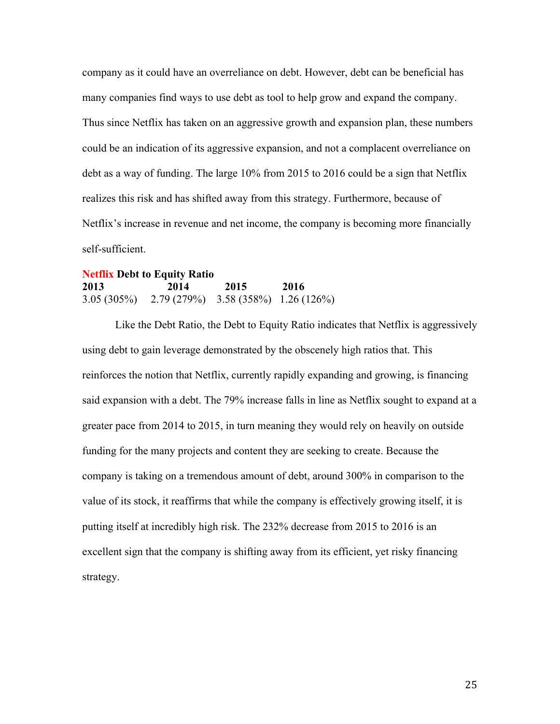company as it could have an overreliance on debt. However, debt can be beneficial has many companies find ways to use debt as tool to help grow and expand the company. Thus since Netflix has taken on an aggressive growth and expansion plan, these numbers could be an indication of its aggressive expansion, and not a complacent overreliance on debt as a way of funding. The large 10% from 2015 to 2016 could be a sign that Netflix realizes this risk and has shifted away from this strategy. Furthermore, because of Netflix's increase in revenue and net income, the company is becoming more financially self-sufficient.

### **Netflix Debt to Equity Ratio 2013 2014 2015 2016**  3.05 (305%) 2.79 (279%) 3.58 (358%) 1.26 (126%)

Like the Debt Ratio, the Debt to Equity Ratio indicates that Netflix is aggressively using debt to gain leverage demonstrated by the obscenely high ratios that. This reinforces the notion that Netflix, currently rapidly expanding and growing, is financing said expansion with a debt. The 79% increase falls in line as Netflix sought to expand at a greater pace from 2014 to 2015, in turn meaning they would rely on heavily on outside funding for the many projects and content they are seeking to create. Because the company is taking on a tremendous amount of debt, around 300% in comparison to the value of its stock, it reaffirms that while the company is effectively growing itself, it is putting itself at incredibly high risk. The 232% decrease from 2015 to 2016 is an excellent sign that the company is shifting away from its efficient, yet risky financing strategy.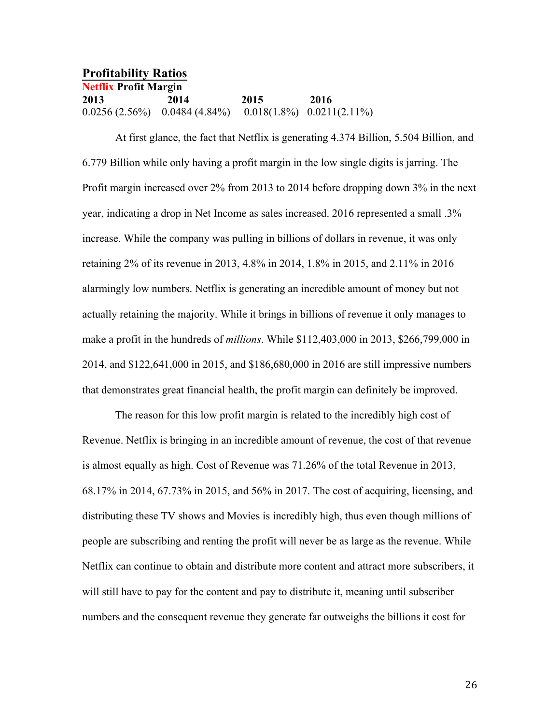**Profitability Ratios Netflix Profit Margin 2013 2014 2015 2016**  0.0256 (2.56%) 0.0484 (4.84%) 0.018(1.8%) 0.0211(2.11%)

At first glance, the fact that Netflix is generating 4.374 Billion, 5.504 Billion, and 6.779 Billion while only having a profit margin in the low single digits is jarring. The Profit margin increased over 2% from 2013 to 2014 before dropping down 3% in the next year, indicating a drop in Net Income as sales increased. 2016 represented a small .3% increase. While the company was pulling in billions of dollars in revenue, it was only retaining 2% of its revenue in 2013, 4.8% in 2014, 1.8% in 2015, and 2.11% in 2016 alarmingly low numbers. Netflix is generating an incredible amount of money but not actually retaining the majority. While it brings in billions of revenue it only manages to make a profit in the hundreds of *millions*. While \$112,403,000 in 2013, \$266,799,000 in 2014, and \$122,641,000 in 2015, and \$186,680,000 in 2016 are still impressive numbers that demonstrates great financial health, the profit margin can definitely be improved.

The reason for this low profit margin is related to the incredibly high cost of Revenue. Netflix is bringing in an incredible amount of revenue, the cost of that revenue is almost equally as high. Cost of Revenue was 71.26% of the total Revenue in 2013, 68.17% in 2014, 67.73% in 2015, and 56% in 2017. The cost of acquiring, licensing, and distributing these TV shows and Movies is incredibly high, thus even though millions of people are subscribing and renting the profit will never be as large as the revenue. While Netflix can continue to obtain and distribute more content and attract more subscribers, it will still have to pay for the content and pay to distribute it, meaning until subscriber numbers and the consequent revenue they generate far outweighs the billions it cost for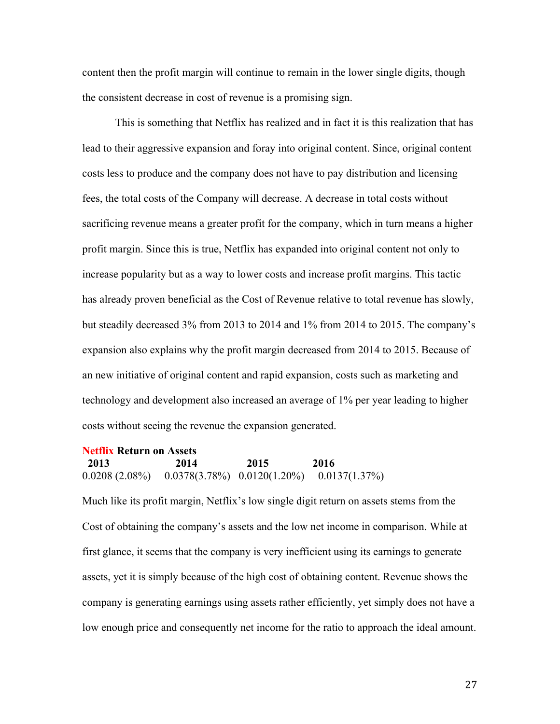content then the profit margin will continue to remain in the lower single digits, though the consistent decrease in cost of revenue is a promising sign.

This is something that Netflix has realized and in fact it is this realization that has lead to their aggressive expansion and foray into original content. Since, original content costs less to produce and the company does not have to pay distribution and licensing fees, the total costs of the Company will decrease. A decrease in total costs without sacrificing revenue means a greater profit for the company, which in turn means a higher profit margin. Since this is true, Netflix has expanded into original content not only to increase popularity but as a way to lower costs and increase profit margins. This tactic has already proven beneficial as the Cost of Revenue relative to total revenue has slowly, but steadily decreased 3% from 2013 to 2014 and 1% from 2014 to 2015. The company's expansion also explains why the profit margin decreased from 2014 to 2015. Because of an new initiative of original content and rapid expansion, costs such as marketing and technology and development also increased an average of 1% per year leading to higher costs without seeing the revenue the expansion generated.

### **Netflix Return on Assets 2013 2014 2015 2016**  0.0208 (2.08%) 0.0378(3.78%) 0.0120(1.20%) 0.0137(1.37%)

Much like its profit margin, Netflix's low single digit return on assets stems from the Cost of obtaining the company's assets and the low net income in comparison. While at first glance, it seems that the company is very inefficient using its earnings to generate assets, yet it is simply because of the high cost of obtaining content. Revenue shows the company is generating earnings using assets rather efficiently, yet simply does not have a low enough price and consequently net income for the ratio to approach the ideal amount.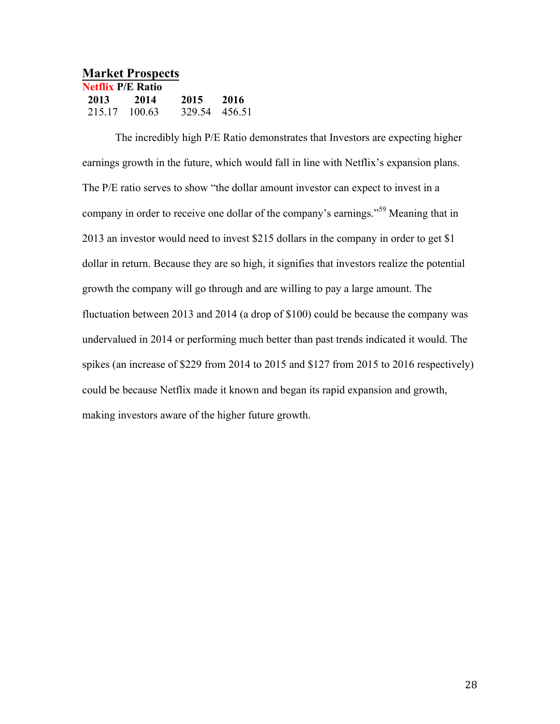| <b>Market Prospects</b>  |        |               |      |
|--------------------------|--------|---------------|------|
| <b>Netflix P/E Ratio</b> |        |               |      |
| 2013                     | 2014   | 2015          | 2016 |
| 215 17                   | 100.63 | 329.54 456.51 |      |

The incredibly high P/E Ratio demonstrates that Investors are expecting higher earnings growth in the future, which would fall in line with Netflix's expansion plans. The P/E ratio serves to show "the dollar amount investor can expect to invest in a company in order to receive one dollar of the company's earnings."<sup>59</sup> Meaning that in 2013 an investor would need to invest \$215 dollars in the company in order to get \$1 dollar in return. Because they are so high, it signifies that investors realize the potential growth the company will go through and are willing to pay a large amount. The fluctuation between 2013 and 2014 (a drop of \$100) could be because the company was undervalued in 2014 or performing much better than past trends indicated it would. The spikes (an increase of \$229 from 2014 to 2015 and \$127 from 2015 to 2016 respectively) could be because Netflix made it known and began its rapid expansion and growth, making investors aware of the higher future growth.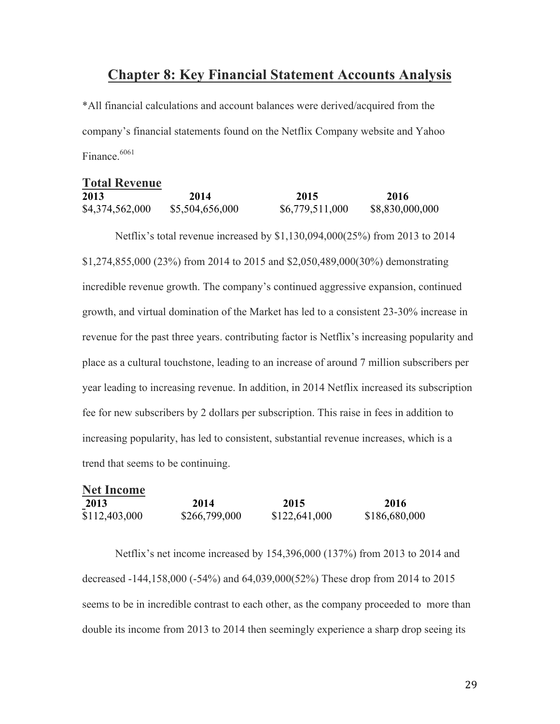# **Chapter 8: Key Financial Statement Accounts Analysis**

\*All financial calculations and account balances were derived/acquired from the company's financial statements found on the Netflix Company website and Yahoo Finance.<sup>6061</sup>

| <b>Total Revenue</b> |                 |                 |                 |
|----------------------|-----------------|-----------------|-----------------|
| 2013                 | 2014            | 2015            | 2016            |
| \$4,374,562,000      | \$5,504,656,000 | \$6,779,511,000 | \$8,830,000,000 |

Netflix's total revenue increased by \$1,130,094,000(25%) from 2013 to 2014 \$1,274,855,000 (23%) from 2014 to 2015 and \$2,050,489,000(30%) demonstrating incredible revenue growth. The company's continued aggressive expansion, continued growth, and virtual domination of the Market has led to a consistent 23-30% increase in revenue for the past three years. contributing factor is Netflix's increasing popularity and place as a cultural touchstone, leading to an increase of around 7 million subscribers per year leading to increasing revenue. In addition, in 2014 Netflix increased its subscription fee for new subscribers by 2 dollars per subscription. This raise in fees in addition to increasing popularity, has led to consistent, substantial revenue increases, which is a trend that seems to be continuing.

| <b>Net Income</b> |               |               |               |
|-------------------|---------------|---------------|---------------|
| 2013              | 2014          | 2015          | 2016          |
| \$112,403,000     | \$266,799,000 | \$122,641,000 | \$186,680,000 |

Netflix's net income increased by 154,396,000 (137%) from 2013 to 2014 and decreased -144,158,000 (-54%) and 64,039,000(52%) These drop from 2014 to 2015 seems to be in incredible contrast to each other, as the company proceeded to more than double its income from 2013 to 2014 then seemingly experience a sharp drop seeing its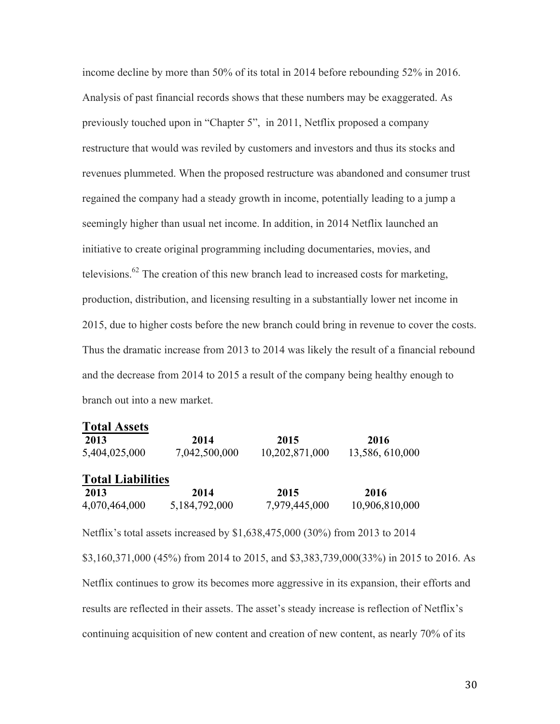income decline by more than 50% of its total in 2014 before rebounding 52% in 2016. Analysis of past financial records shows that these numbers may be exaggerated. As previously touched upon in "Chapter 5", in 2011, Netflix proposed a company restructure that would was reviled by customers and investors and thus its stocks and revenues plummeted. When the proposed restructure was abandoned and consumer trust regained the company had a steady growth in income, potentially leading to a jump a seemingly higher than usual net income. In addition, in 2014 Netflix launched an initiative to create original programming including documentaries, movies, and televisions.<sup>62</sup> The creation of this new branch lead to increased costs for marketing, production, distribution, and licensing resulting in a substantially lower net income in 2015, due to higher costs before the new branch could bring in revenue to cover the costs. Thus the dramatic increase from 2013 to 2014 was likely the result of a financial rebound and the decrease from 2014 to 2015 a result of the company being healthy enough to branch out into a new market.

| <b>Total Assets</b>      |               |                |                 |
|--------------------------|---------------|----------------|-----------------|
| 2013                     | 2014          | 2015           | 2016            |
| 5,404,025,000            | 7,042,500,000 | 10,202,871,000 | 13,586, 610,000 |
| <b>Total Liabilities</b> |               |                |                 |
| 2013                     | 2014          | 2015           | 2016            |
| 4,070,464,000            | 5,184,792,000 | 7,979,445,000  | 10,906,810,000  |

Netflix's total assets increased by \$1,638,475,000 (30%) from 2013 to 2014 \$3,160,371,000 (45%) from 2014 to 2015, and \$3,383,739,000(33%) in 2015 to 2016. As Netflix continues to grow its becomes more aggressive in its expansion, their efforts and results are reflected in their assets. The asset's steady increase is reflection of Netflix's continuing acquisition of new content and creation of new content, as nearly 70% of its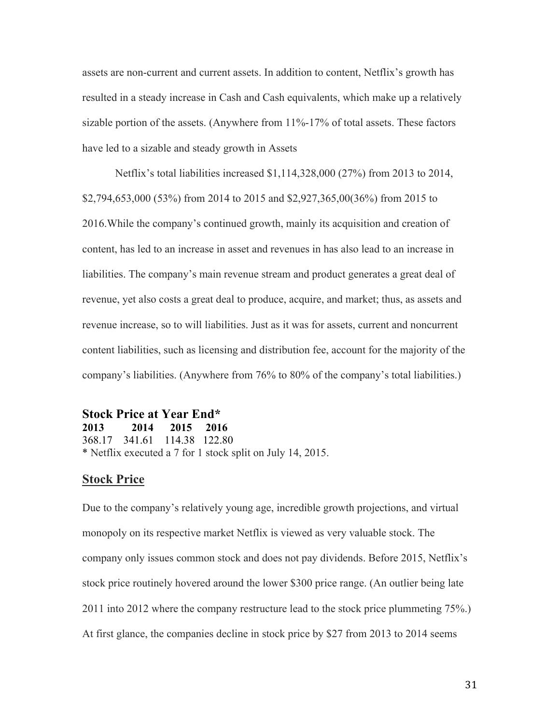assets are non-current and current assets. In addition to content, Netflix's growth has resulted in a steady increase in Cash and Cash equivalents, which make up a relatively sizable portion of the assets. (Anywhere from 11%-17% of total assets. These factors have led to a sizable and steady growth in Assets

Netflix's total liabilities increased \$1,114,328,000 (27%) from 2013 to 2014, \$2,794,653,000 (53%) from 2014 to 2015 and \$2,927,365,00(36%) from 2015 to 2016.While the company's continued growth, mainly its acquisition and creation of content, has led to an increase in asset and revenues in has also lead to an increase in liabilities. The company's main revenue stream and product generates a great deal of revenue, yet also costs a great deal to produce, acquire, and market; thus, as assets and revenue increase, so to will liabilities. Just as it was for assets, current and noncurrent content liabilities, such as licensing and distribution fee, account for the majority of the company's liabilities. (Anywhere from 76% to 80% of the company's total liabilities.)

# **Stock Price at Year End\***

**2013 2014 2015 2016** 368.17 341.61 114.38 122.80 \* Netflix executed a 7 for 1 stock split on July 14, 2015.

### **Stock Price**

Due to the company's relatively young age, incredible growth projections, and virtual monopoly on its respective market Netflix is viewed as very valuable stock. The company only issues common stock and does not pay dividends. Before 2015, Netflix's stock price routinely hovered around the lower \$300 price range. (An outlier being late 2011 into 2012 where the company restructure lead to the stock price plummeting 75%.) At first glance, the companies decline in stock price by \$27 from 2013 to 2014 seems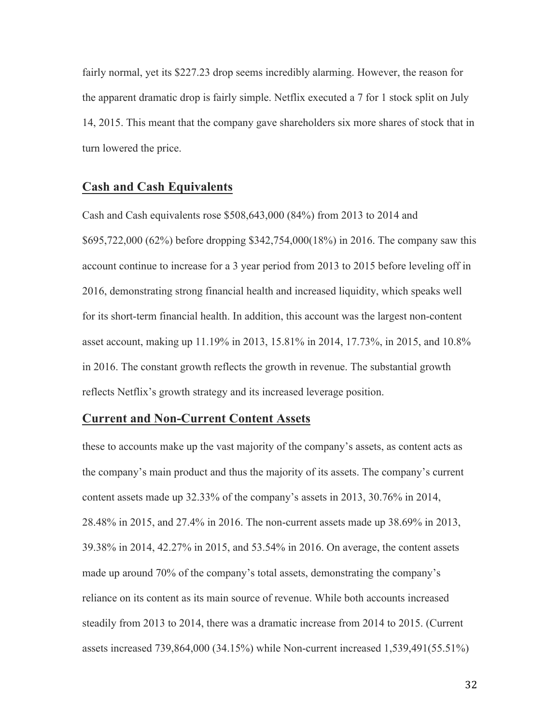fairly normal, yet its \$227.23 drop seems incredibly alarming. However, the reason for the apparent dramatic drop is fairly simple. Netflix executed a 7 for 1 stock split on July 14, 2015. This meant that the company gave shareholders six more shares of stock that in turn lowered the price.

### **Cash and Cash Equivalents**

Cash and Cash equivalents rose \$508,643,000 (84%) from 2013 to 2014 and \$695,722,000 (62%) before dropping \$342,754,000(18%) in 2016. The company saw this account continue to increase for a 3 year period from 2013 to 2015 before leveling off in 2016, demonstrating strong financial health and increased liquidity, which speaks well for its short-term financial health. In addition, this account was the largest non-content asset account, making up 11.19% in 2013, 15.81% in 2014, 17.73%, in 2015, and 10.8% in 2016. The constant growth reflects the growth in revenue. The substantial growth reflects Netflix's growth strategy and its increased leverage position.

### **Current and Non-Current Content Assets**

these to accounts make up the vast majority of the company's assets, as content acts as the company's main product and thus the majority of its assets. The company's current content assets made up 32.33% of the company's assets in 2013, 30.76% in 2014, 28.48% in 2015, and 27.4% in 2016. The non-current assets made up 38.69% in 2013, 39.38% in 2014, 42.27% in 2015, and 53.54% in 2016. On average, the content assets made up around 70% of the company's total assets, demonstrating the company's reliance on its content as its main source of revenue. While both accounts increased steadily from 2013 to 2014, there was a dramatic increase from 2014 to 2015. (Current assets increased 739,864,000 (34.15%) while Non-current increased 1,539,491(55.51%)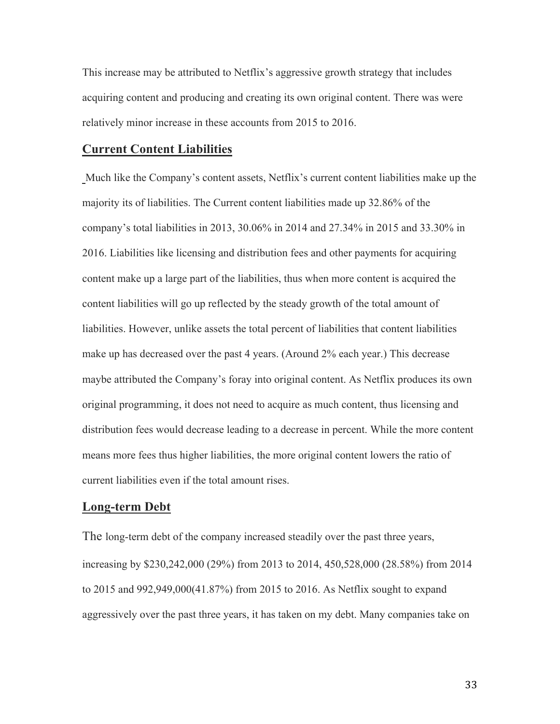This increase may be attributed to Netflix's aggressive growth strategy that includes acquiring content and producing and creating its own original content. There was were relatively minor increase in these accounts from 2015 to 2016.

#### **Current Content Liabilities**

Much like the Company's content assets, Netflix's current content liabilities make up the majority its of liabilities. The Current content liabilities made up 32.86% of the company's total liabilities in 2013, 30.06% in 2014 and 27.34% in 2015 and 33.30% in 2016. Liabilities like licensing and distribution fees and other payments for acquiring content make up a large part of the liabilities, thus when more content is acquired the content liabilities will go up reflected by the steady growth of the total amount of liabilities. However, unlike assets the total percent of liabilities that content liabilities make up has decreased over the past 4 years. (Around 2% each year.) This decrease maybe attributed the Company's foray into original content. As Netflix produces its own original programming, it does not need to acquire as much content, thus licensing and distribution fees would decrease leading to a decrease in percent. While the more content means more fees thus higher liabilities, the more original content lowers the ratio of current liabilities even if the total amount rises.

#### **Long-term Debt**

The long-term debt of the company increased steadily over the past three years, increasing by \$230,242,000 (29%) from 2013 to 2014, 450,528,000 (28.58%) from 2014 to 2015 and 992,949,000(41.87%) from 2015 to 2016. As Netflix sought to expand aggressively over the past three years, it has taken on my debt. Many companies take on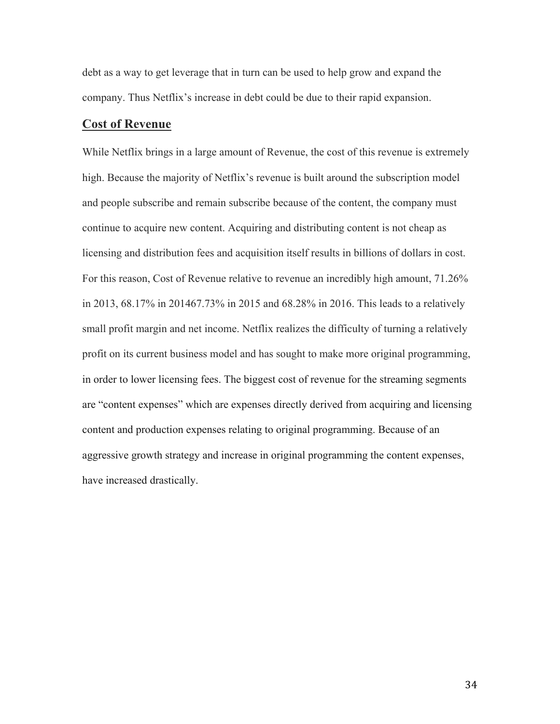debt as a way to get leverage that in turn can be used to help grow and expand the company. Thus Netflix's increase in debt could be due to their rapid expansion.

### **Cost of Revenue**

While Netflix brings in a large amount of Revenue, the cost of this revenue is extremely high. Because the majority of Netflix's revenue is built around the subscription model and people subscribe and remain subscribe because of the content, the company must continue to acquire new content. Acquiring and distributing content is not cheap as licensing and distribution fees and acquisition itself results in billions of dollars in cost. For this reason, Cost of Revenue relative to revenue an incredibly high amount, 71.26% in 2013, 68.17% in 201467.73% in 2015 and 68.28% in 2016. This leads to a relatively small profit margin and net income. Netflix realizes the difficulty of turning a relatively profit on its current business model and has sought to make more original programming, in order to lower licensing fees. The biggest cost of revenue for the streaming segments are "content expenses" which are expenses directly derived from acquiring and licensing content and production expenses relating to original programming. Because of an aggressive growth strategy and increase in original programming the content expenses, have increased drastically.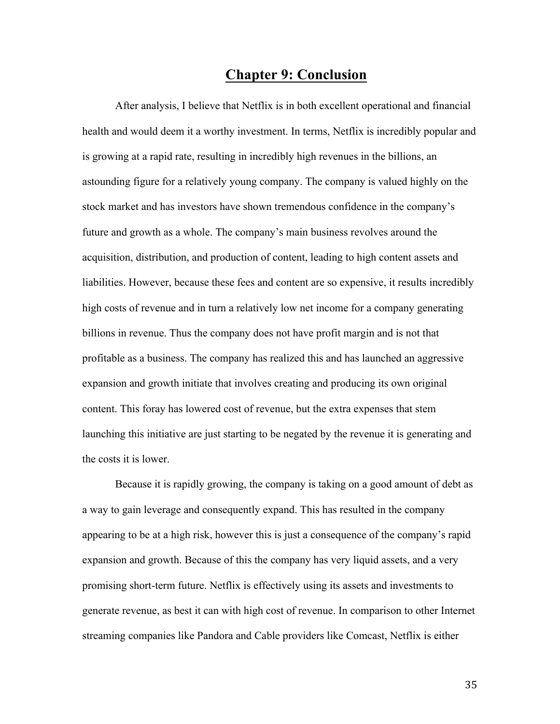# **Chapter 9: Conclusion**

After analysis, I believe that Netflix is in both excellent operational and financial health and would deem it a worthy investment. In terms, Netflix is incredibly popular and is growing at a rapid rate, resulting in incredibly high revenues in the billions, an astounding figure for a relatively young company. The company is valued highly on the stock market and has investors have shown tremendous confidence in the company's future and growth as a whole. The company's main business revolves around the acquisition, distribution, and production of content, leading to high content assets and liabilities. However, because these fees and content are so expensive, it results incredibly high costs of revenue and in turn a relatively low net income for a company generating billions in revenue. Thus the company does not have profit margin and is not that profitable as a business. The company has realized this and has launched an aggressive expansion and growth initiate that involves creating and producing its own original content. This foray has lowered cost of revenue, but the extra expenses that stem launching this initiative are just starting to be negated by the revenue it is generating and the costs it is lower.

Because it is rapidly growing, the company is taking on a good amount of debt as a way to gain leverage and consequently expand. This has resulted in the company appearing to be at a high risk, however this is just a consequence of the company's rapid expansion and growth. Because of this the company has very liquid assets, and a very promising short-term future. Netflix is effectively using its assets and investments to generate revenue, as best it can with high cost of revenue. In comparison to other Internet streaming companies like Pandora and Cable providers like Comcast, Netflix is either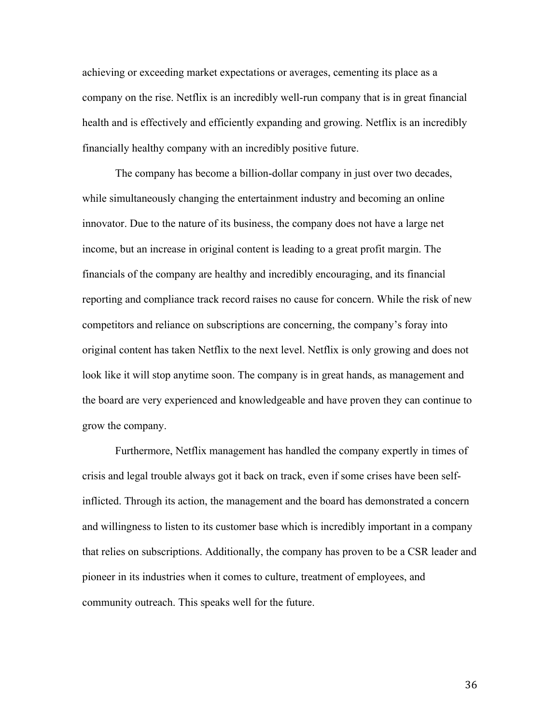achieving or exceeding market expectations or averages, cementing its place as a company on the rise. Netflix is an incredibly well-run company that is in great financial health and is effectively and efficiently expanding and growing. Netflix is an incredibly financially healthy company with an incredibly positive future.

The company has become a billion-dollar company in just over two decades, while simultaneously changing the entertainment industry and becoming an online innovator. Due to the nature of its business, the company does not have a large net income, but an increase in original content is leading to a great profit margin. The financials of the company are healthy and incredibly encouraging, and its financial reporting and compliance track record raises no cause for concern. While the risk of new competitors and reliance on subscriptions are concerning, the company's foray into original content has taken Netflix to the next level. Netflix is only growing and does not look like it will stop anytime soon. The company is in great hands, as management and the board are very experienced and knowledgeable and have proven they can continue to grow the company.

Furthermore, Netflix management has handled the company expertly in times of crisis and legal trouble always got it back on track, even if some crises have been selfinflicted. Through its action, the management and the board has demonstrated a concern and willingness to listen to its customer base which is incredibly important in a company that relies on subscriptions. Additionally, the company has proven to be a CSR leader and pioneer in its industries when it comes to culture, treatment of employees, and community outreach. This speaks well for the future.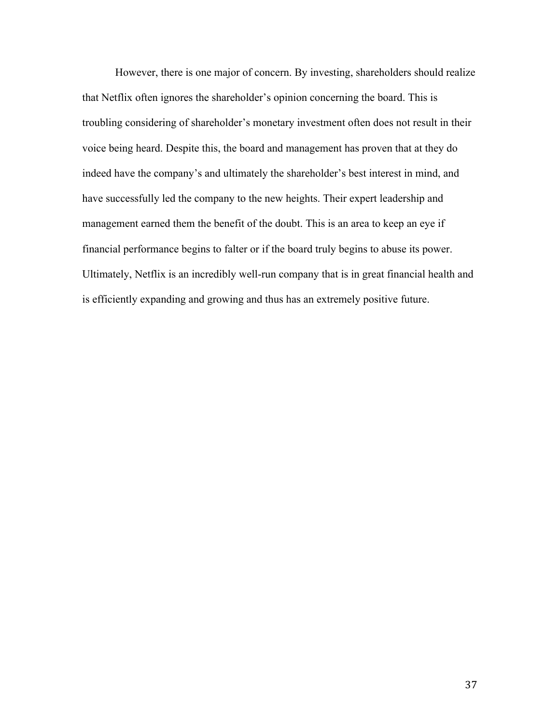However, there is one major of concern. By investing, shareholders should realize that Netflix often ignores the shareholder's opinion concerning the board. This is troubling considering of shareholder's monetary investment often does not result in their voice being heard. Despite this, the board and management has proven that at they do indeed have the company's and ultimately the shareholder's best interest in mind, and have successfully led the company to the new heights. Their expert leadership and management earned them the benefit of the doubt. This is an area to keep an eye if financial performance begins to falter or if the board truly begins to abuse its power. Ultimately, Netflix is an incredibly well-run company that is in great financial health and is efficiently expanding and growing and thus has an extremely positive future.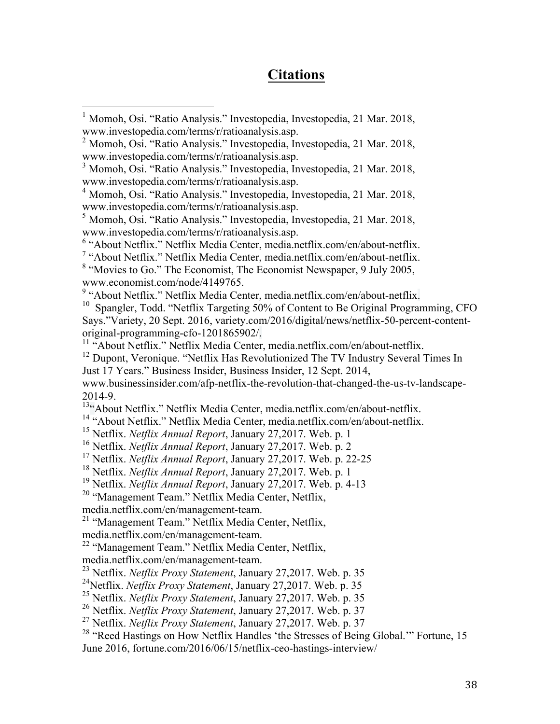# **Citations**

<sup>12</sup> Dupont, Veronique. "Netflix Has Revolutionized The TV Industry Several Times In Just 17 Years." Business Insider, Business Insider, 12 Sept. 2014,

www.businessinsider.com/afp-netflix-the-revolution-that-changed-the-us-tv-landscape-2014-9.

<sup>13</sup>"About Netflix." Netflix Media Center, media.netflix.com/en/about-netflix.

<sup>14</sup> "About Netflix." Netflix Media Center, media.netflix.com/en/about-netflix.

- <sup>15</sup> Netflix. *Netflix Annual Report*, January 27,2017. Web. p. 1
- <sup>16</sup> Netflix. *Netflix Annual Report*, January 27,2017. Web. p. 2

<sup>17</sup> Netflix. *Netflix Annual Report*, January 27,2017. Web. p. 22-25

<sup>18</sup> Netflix. *Netflix Annual Report*, January 27,2017. Web. p. 1

<sup>19</sup> Netflix. *Netflix Annual Report*, January 27,2017. Web. p. 4-13

<sup>20</sup> "Management Team." Netflix Media Center, Netflix,

media.netflix.com/en/management-team.

<sup>21</sup> "Management Team." Netflix Media Center, Netflix,

media.netflix.com/en/management-team.

<sup>22</sup> "Management Team." Netflix Media Center, Netflix,

media.netflix.com/en/management-team.

<sup>23</sup> Netflix. *Netflix Proxy Statement*, January 27,2017. Web. p. 35

24Netflix. *Netflix Proxy Statement*, January 27,2017. Web. p. 35

<sup>25</sup> Netflix. *Netflix Proxy Statement*, January 27,2017. Web. p. 35

<sup>26</sup> Netflix. *Netflix Proxy Statement*, January 27,2017. Web. p. 37

<sup>27</sup> Netflix. *Netflix Proxy Statement*, January 27,2017. Web. p. 37

<sup>28</sup> "Reed Hastings on How Netflix Handles 'the Stresses of Being Global.'" Fortune, 15 June 2016, fortune.com/2016/06/15/netflix-ceo-hastings-interview/

<sup>&</sup>lt;sup>1</sup> Momoh, Osi. "Ratio Analysis." Investopedia, Investopedia, 21 Mar. 2018, www.investopedia.com/terms/r/ratioanalysis.asp.

 $^{2}$  Momoh, Osi. "Ratio Analysis." Investopedia, Investopedia, 21 Mar. 2018, www.investopedia.com/terms/r/ratioanalysis.asp.

<sup>3</sup> Momoh, Osi. "Ratio Analysis." Investopedia, Investopedia, 21 Mar. 2018, www.investopedia.com/terms/r/ratioanalysis.asp.

<sup>4</sup> Momoh, Osi. "Ratio Analysis." Investopedia, Investopedia, 21 Mar. 2018, www.investopedia.com/terms/r/ratioanalysis.asp.

<sup>5</sup> Momoh, Osi. "Ratio Analysis." Investopedia, Investopedia, 21 Mar. 2018, www.investopedia.com/terms/r/ratioanalysis.asp.

<sup>6</sup> "About Netflix." Netflix Media Center, media.netflix.com/en/about-netflix.

<sup>7</sup> "About Netflix." Netflix Media Center, media.netflix.com/en/about-netflix.

<sup>&</sup>lt;sup>8</sup> "Movies to Go." The Economist, The Economist Newspaper, 9 July 2005, www.economist.com/node/4149765.<br><sup>9</sup> "About Netflix." Netflix Media Center, media.netflix.com/en/about-netflix.

 $10$  Spangler, Todd. "Netflix Targeting 50% of Content to Be Original Programming, CFO Says."Variety, 20 Sept. 2016, variety.com/2016/digital/news/netflix-50-percent-contentoriginal-programming-cfo-1201865902/.<br><sup>11</sup> "About Netflix." Netflix Media Center, media.netflix.com/en/about-netflix.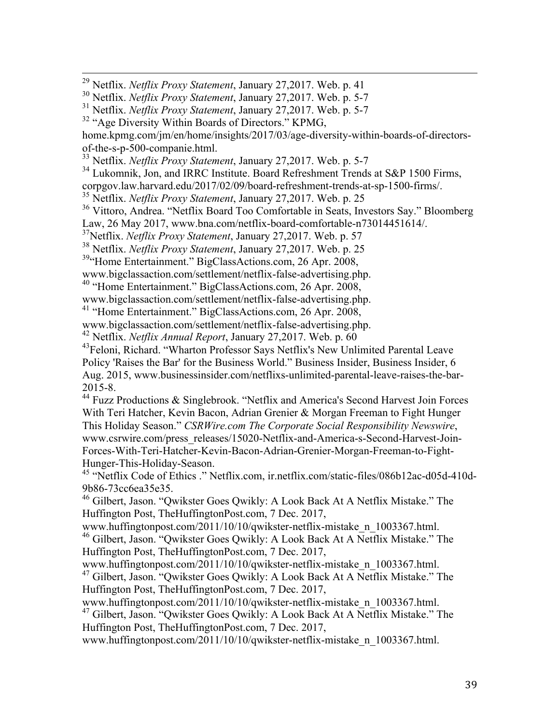29 Netflix. *Netflix Proxy Statement*, January 27,2017. Web. p. 41

home.kpmg.com/jm/en/home/insights/2017/03/age-diversity-within-boards-of-directorsof-the-s-p-500-companie.html.

<sup>33</sup> Netflix. *Netflix Proxy Statement*, January 27,2017. Web. p. 5-7

 $34$  Lukomnik, Jon, and IRRC Institute. Board Refreshment Trends at S&P 1500 Firms,

corpgov.law.harvard.edu/2017/02/09/board-refreshment-trends-at-sp-1500-firms/.

<sup>35</sup> Netflix. *Netflix Proxy Statement*, January 27,2017. Web. p. 25

<sup>36</sup> Vittoro, Andrea. "Netflix Board Too Comfortable in Seats, Investors Say." Bloomberg Law, 26 May 2017, www.bna.com/netflix-board-comfortable-n73014451614/.

37Netflix. *Netflix Proxy Statement*, January 27,2017. Web. p. 57

<sup>38</sup> Netflix. *Netflix Proxy Statement*, January 27,2017. Web. p. 25

<sup>39</sup>"Home Entertainment." BigClassActions.com, 26 Apr. 2008,

www.bigclassaction.com/settlement/netflix-false-advertising.php.

40 "Home Entertainment." BigClassActions.com, 26 Apr. 2008,

www.bigclassaction.com/settlement/netflix-false-advertising.php.

<sup>41</sup> "Home Entertainment." BigClassActions.com, 26 Apr. 2008,

www.bigclassaction.com/settlement/netflix-false-advertising.php.

<sup>42</sup> Netflix. *Netflix Annual Report*, January 27,2017. Web. p. 60

<sup>43</sup>Feloni, Richard. "Wharton Professor Says Netflix's New Unlimited Parental Leave Policy 'Raises the Bar' for the Business World." Business Insider, Business Insider, 6 Aug. 2015, www.businessinsider.com/netflixs-unlimited-parental-leave-raises-the-bar-2015-8.

<sup>44</sup> Fuzz Productions & Singlebrook. "Netflix and America's Second Harvest Join Forces With Teri Hatcher, Kevin Bacon, Adrian Grenier & Morgan Freeman to Fight Hunger This Holiday Season." *CSRWire.com The Corporate Social Responsibility Newswire*, www.csrwire.com/press\_releases/15020-Netflix-and-America-s-Second-Harvest-Join-Forces-With-Teri-Hatcher-Kevin-Bacon-Adrian-Grenier-Morgan-Freeman-to-Fight-Hunger-This-Holiday-Season.

<sup>45</sup> "Netflix Code of Ethics ." Netflix.com, ir.netflix.com/static-files/086b12ac-d05d-410d-9b86-73cc6ea35e35.

<sup>46</sup> Gilbert, Jason. "Qwikster Goes Qwikly: A Look Back At A Netflix Mistake." The Huffington Post, TheHuffingtonPost.com, 7 Dec. 2017,

www.huffingtonpost.com/2011/10/10/qwikster-netflix-mistake\_n\_1003367.html. <sup>46</sup> Gilbert, Jason. "Qwikster Goes Qwikly: A Look Back At A Netflix Mistake." The Huffington Post, TheHuffingtonPost.com, 7 Dec. 2017,

www.huffingtonpost.com/2011/10/10/qwikster-netflix-mistake\_n\_1003367.html.

<sup>47</sup> Gilbert, Jason. "Qwikster Goes Qwikly: A Look Back At A Netflix Mistake." The Huffington Post, TheHuffingtonPost.com, 7 Dec. 2017,

www.huffingtonpost.com/2011/10/10/qwikster-netflix-mistake\_n\_1003367.html. <sup>47</sup> Gilbert, Jason. "Qwikster Goes Qwikly: A Look Back At A Netflix Mistake." The Huffington Post, TheHuffingtonPost.com, 7 Dec. 2017,

www.huffingtonpost.com/2011/10/10/qwikster-netflix-mistake\_n\_1003367.html.

<sup>30</sup> Netflix. *Netflix Proxy Statement*, January 27,2017. Web. p. 5-7

<sup>31</sup> Netflix. *Netflix Proxy Statement*, January 27,2017. Web. p. 5-7

 $32$  "Age Diversity Within Boards of Directors." KPMG,